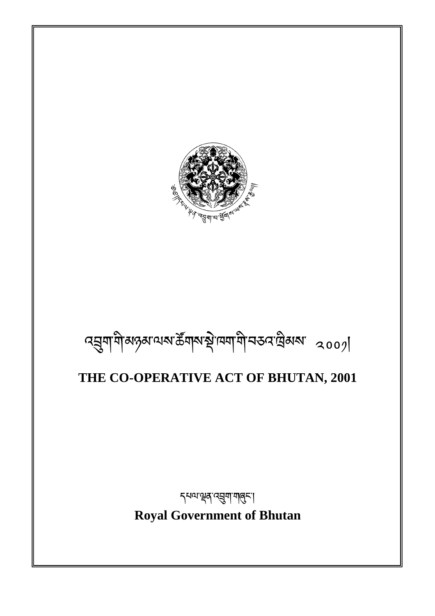# **Royal Government of Bhutan**

<sub>ร</sub>्यव्यञ्चत्रं व्यञ्जूषा <mark>मालु</mark>न्दा

# **THE CO-OPERATIVE ACT OF BHUTAN, 2001**

# $\alpha$ ସ୍ତ୍ର୍ୟା ସାର୍ଡ଼ିଶା କାର୍ଯ୍ୟ ବିଧି । ସେମିଧି ସେ ସିଧି ସାର୍ଡ଼ା ।

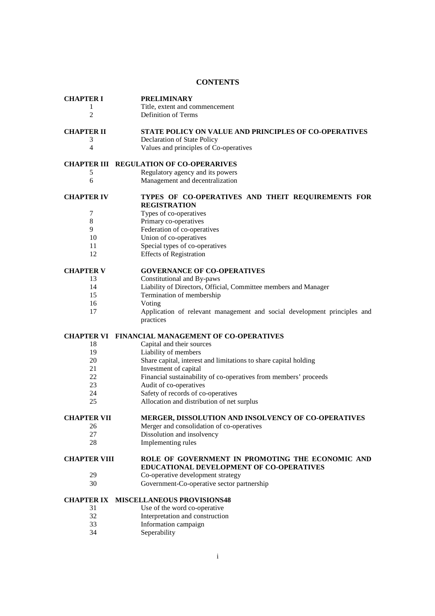# **CONTENTS**

| <b>CHAPTER I</b>    | <b>PRELIMINARY</b>                                                       |
|---------------------|--------------------------------------------------------------------------|
| 1                   | Title, extent and commencement                                           |
| $\overline{c}$      | Definition of Terms                                                      |
|                     |                                                                          |
| <b>CHAPTER II</b>   | <b>STATE POLICY ON VALUE AND PRINCIPLES OF CO-OPERATIVES</b>             |
| 3                   | Declaration of State Policy                                              |
| $\overline{4}$      | Values and principles of Co-operatives                                   |
|                     |                                                                          |
|                     | <b>CHAPTER III REGULATION OF CO-OPERARIVES</b>                           |
| 5                   | Regulatory agency and its powers                                         |
| 6                   | Management and decentralization                                          |
|                     |                                                                          |
| <b>CHAPTER IV</b>   | TYPES OF CO-OPERATIVES AND THEIT REQUIREMENTS FOR                        |
|                     | <b>REGISTRATION</b>                                                      |
| 7                   | Types of co-operatives                                                   |
| $\,8\,$             | Primary co-operatives                                                    |
| 9                   | Federation of co-operatives                                              |
| 10                  | Union of co-operatives                                                   |
| 11                  | Special types of co-operatives                                           |
| 12                  |                                                                          |
|                     | <b>Effects of Registration</b>                                           |
| <b>CHAPTER V</b>    | <b>GOVERNANCE OF CO-OPERATIVES</b>                                       |
|                     |                                                                          |
| 13                  | Constitutional and By-paws                                               |
| 14                  | Liability of Directors, Official, Committee members and Manager          |
| 15                  | Termination of membership                                                |
| 16                  | Voting                                                                   |
| 17                  | Application of relevant management and social development principles and |
|                     |                                                                          |
|                     | practices                                                                |
|                     |                                                                          |
|                     | <b>CHAPTER VI FINANCIAL MANAGEMENT OF CO-OPERATIVES</b>                  |
| 18                  | Capital and their sources                                                |
| 19                  | Liability of members                                                     |
| 20                  | Share capital, interest and limitations to share capital holding         |
| 21                  | Investment of capital                                                    |
| 22                  | Financial sustainability of co-operatives from members' proceeds         |
| 23                  | Audit of co-operatives                                                   |
| 24                  | Safety of records of co-operatives                                       |
| 25                  | Allocation and distribution of net surplus                               |
|                     |                                                                          |
| <b>CHAPTER VII</b>  | MERGER, DISSOLUTION AND INSOLVENCY OF CO-OPERATIVES                      |
| 26                  | Merger and consolidation of co-operatives                                |
| 27                  | Dissolution and insolvency                                               |
| 28                  | Implementing rules                                                       |
|                     |                                                                          |
| <b>CHAPTER VIII</b> | ROLE OF GOVERNMENT IN PROMOTING THE ECONOMIC AND                         |
|                     | EDUCATIONAL DEVELOPMENT OF CO-OPERATIVES                                 |
| 29                  | Co-operative development strategy                                        |
| 30                  | Government-Co-operative sector partnership                               |
|                     |                                                                          |
| <b>CHAPTER IX</b>   | <b>MISCELLANEOUS PROVISIONS48</b>                                        |
| 31                  | Use of the word co-operative                                             |
| 32                  | Interpretation and construction                                          |
| 33<br>34            | Information campaign<br>Seperability                                     |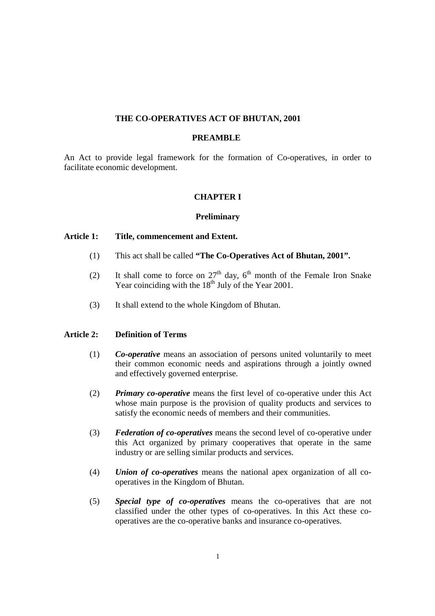# **THE CO-OPERATIVES ACT OF BHUTAN, 2001**

#### **PREAMBLE**

An Act to provide legal framework for the formation of Co-operatives, in order to facilitate economic development.

# **CHAPTER I**

#### **Preliminary**

#### **Article 1: Title, commencement and Extent.**

- (1) This act shall be called **"The Co-Operatives Act of Bhutan, 2001".**
- (2) It shall come to force on  $27<sup>th</sup>$  day,  $6<sup>th</sup>$  month of the Female Iron Snake Year coinciding with the  $18<sup>th</sup>$  July of the Year 2001.
- (3) It shall extend to the whole Kingdom of Bhutan.

# **Article 2: Definition of Terms**

- (1) *Co-operative* means an association of persons united voluntarily to meet their common economic needs and aspirations through a jointly owned and effectively governed enterprise.
- (2) *Primary co-operative* means the first level of co-operative under this Act whose main purpose is the provision of quality products and services to satisfy the economic needs of members and their communities.
- (3) *Federation of co-operatives* means the second level of co-operative under this Act organized by primary cooperatives that operate in the same industry or are selling similar products and services.
- (4) *Union of co-operatives* means the national apex organization of all cooperatives in the Kingdom of Bhutan.
- (5) *Special type of co-operatives* means the co-operatives that are not classified under the other types of co-operatives. In this Act these cooperatives are the co-operative banks and insurance co-operatives.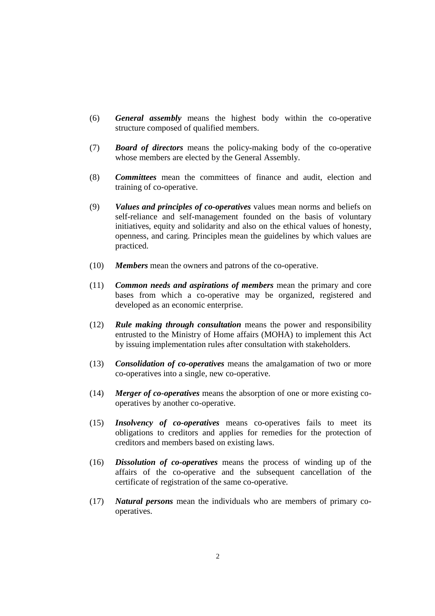- (6) *General assembly* means the highest body within the co-operative structure composed of qualified members.
- (7) *Board of directors* means the policy-making body of the co-operative whose members are elected by the General Assembly.
- (8) *Committees* mean the committees of finance and audit, election and training of co-operative.
- (9) *Values and principles of co-operatives* values mean norms and beliefs on self-reliance and self-management founded on the basis of voluntary initiatives, equity and solidarity and also on the ethical values of honesty, openness, and caring. Principles mean the guidelines by which values are practiced.
- (10) *Members* mean the owners and patrons of the co-operative.
- (11) *Common needs and aspirations of members* mean the primary and core bases from which a co-operative may be organized, registered and developed as an economic enterprise.
- (12) *Rule making through consultation* means the power and responsibility entrusted to the Ministry of Home affairs (MOHA) to implement this Act by issuing implementation rules after consultation with stakeholders.
- (13) *Consolidation of co-operatives* means the amalgamation of two or more co-operatives into a single, new co-operative.
- (14) *Merger of co-operatives* means the absorption of one or more existing cooperatives by another co-operative.
- (15) *Insolvency of co-operatives* means co-operatives fails to meet its obligations to creditors and applies for remedies for the protection of creditors and members based on existing laws.
- (16) *Dissolution of co-operatives* means the process of winding up of the affairs of the co-operative and the subsequent cancellation of the certificate of registration of the same co-operative.
- (17) *Natural persons* mean the individuals who are members of primary cooperatives.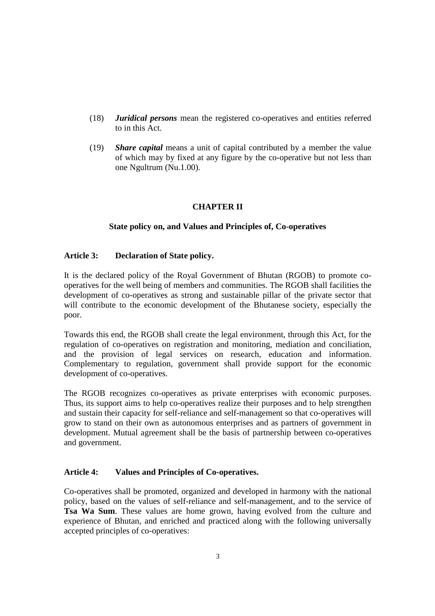- (18) *Juridical persons* mean the registered co-operatives and entities referred to in this Act.
- (19) *Share capital* means a unit of capital contributed by a member the value of which may by fixed at any figure by the co-operative but not less than one Ngultrum (Nu.1.00).

# **CHAPTER II**

# **State policy on, and Values and Principles of, Co-operatives**

# **Article 3: Declaration of State policy.**

It is the declared policy of the Royal Government of Bhutan (RGOB) to promote cooperatives for the well being of members and communities. The RGOB shall facilities the development of co-operatives as strong and sustainable pillar of the private sector that will contribute to the economic development of the Bhutanese society, especially the poor.

Towards this end, the RGOB shall create the legal environment, through this Act, for the regulation of co-operatives on registration and monitoring, mediation and conciliation, and the provision of legal services on research, education and information. Complementary to regulation, government shall provide support for the economic development of co-operatives.

The RGOB recognizes co-operatives as private enterprises with economic purposes. Thus, its support aims to help co-operatives realize their purposes and to help strengthen and sustain their capacity for self-reliance and self-management so that co-operatives will grow to stand on their own as autonomous enterprises and as partners of government in development. Mutual agreement shall be the basis of partnership between co-operatives and government.

#### **Article 4: Values and Principles of Co-operatives.**

Co-operatives shall be promoted, organized and developed in harmony with the national policy, based on the values of self-reliance and self-management, and to the service of **Tsa Wa Sum**. These values are home grown, having evolved from the culture and experience of Bhutan, and enriched and practiced along with the following universally accepted principles of co-operatives: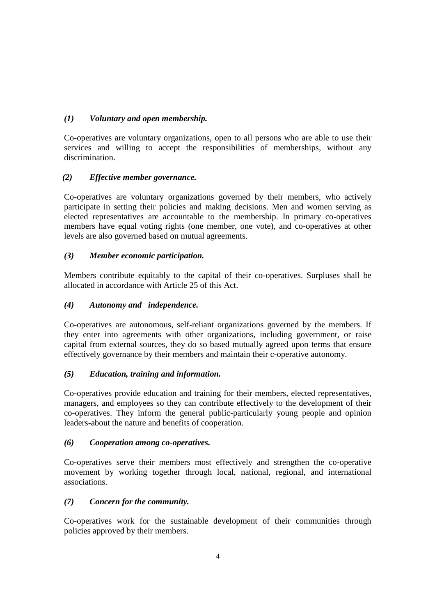# *(1) Voluntary and open membership.*

Co-operatives are voluntary organizations, open to all persons who are able to use their services and willing to accept the responsibilities of memberships, without any discrimination.

# *(2) Effective member governance.*

Co-operatives are voluntary organizations governed by their members, who actively participate in setting their policies and making decisions. Men and women serving as elected representatives are accountable to the membership. In primary co-operatives members have equal voting rights (one member, one vote), and co-operatives at other levels are also governed based on mutual agreements.

# *(3) Member economic participation.*

Members contribute equitably to the capital of their co-operatives. Surpluses shall be allocated in accordance with Article 25 of this Act.

# *(4) Autonomy and independence.*

Co-operatives are autonomous, self-reliant organizations governed by the members. If they enter into agreements with other organizations, including government, or raise capital from external sources, they do so based mutually agreed upon terms that ensure effectively governance by their members and maintain their c-operative autonomy.

# *(5) Education, training and information.*

Co-operatives provide education and training for their members, elected representatives, managers, and employees so they can contribute effectively to the development of their co-operatives. They inform the general public-particularly young people and opinion leaders-about the nature and benefits of cooperation.

# *(6) Cooperation among co-operatives.*

Co-operatives serve their members most effectively and strengthen the co-operative movement by working together through local, national, regional, and international associations.

# *(7) Concern for the community.*

Co-operatives work for the sustainable development of their communities through policies approved by their members.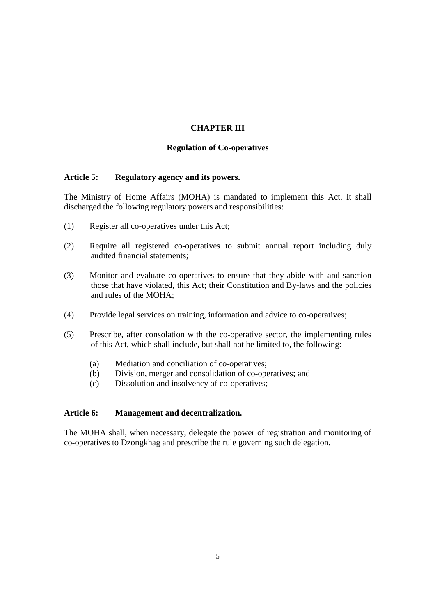# **CHAPTER III**

#### **Regulation of Co-operatives**

#### **Article 5: Regulatory agency and its powers.**

The Ministry of Home Affairs (MOHA) is mandated to implement this Act. It shall discharged the following regulatory powers and responsibilities:

- (1) Register all co-operatives under this Act;
- (2) Require all registered co-operatives to submit annual report including duly audited financial statements;
- (3) Monitor and evaluate co-operatives to ensure that they abide with and sanction those that have violated, this Act; their Constitution and By-laws and the policies and rules of the MOHA;
- (4) Provide legal services on training, information and advice to co-operatives;
- (5) Prescribe, after consolation with the co-operative sector, the implementing rules of this Act, which shall include, but shall not be limited to, the following:
	- (a) Mediation and conciliation of co-operatives;
	- (b) Division, merger and consolidation of co-operatives; and
	- (c) Dissolution and insolvency of co-operatives;

#### **Article 6: Management and decentralization.**

The MOHA shall, when necessary, delegate the power of registration and monitoring of co-operatives to Dzongkhag and prescribe the rule governing such delegation.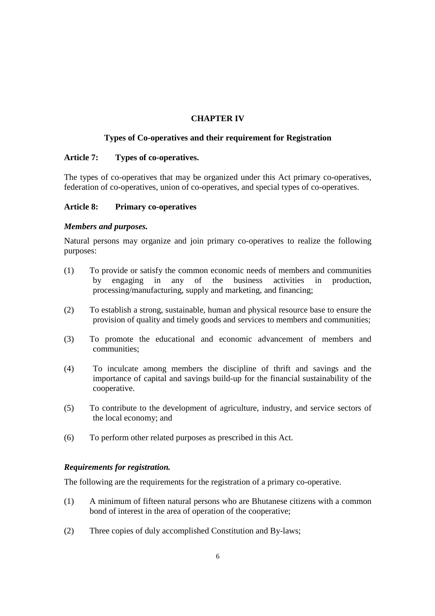# **CHAPTER IV**

# **Types of Co-operatives and their requirement for Registration**

# **Article 7: Types of co-operatives.**

The types of co-operatives that may be organized under this Act primary co-operatives, federation of co-operatives, union of co-operatives, and special types of co-operatives.

# **Article 8: Primary co-operatives**

# *Members and purposes.*

Natural persons may organize and join primary co-operatives to realize the following purposes:

- (1) To provide or satisfy the common economic needs of members and communities by engaging in any of the business activities in production, processing/manufacturing, supply and marketing, and financing;
- (2) To establish a strong, sustainable, human and physical resource base to ensure the provision of quality and timely goods and services to members and communities;
- (3) To promote the educational and economic advancement of members and communities;
- (4) To inculcate among members the discipline of thrift and savings and the importance of capital and savings build-up for the financial sustainability of the cooperative.
- (5) To contribute to the development of agriculture, industry, and service sectors of the local economy; and
- (6) To perform other related purposes as prescribed in this Act.

#### *Requirements for registration.*

The following are the requirements for the registration of a primary co-operative.

- (1) A minimum of fifteen natural persons who are Bhutanese citizens with a common bond of interest in the area of operation of the cooperative;
- (2) Three copies of duly accomplished Constitution and By-laws;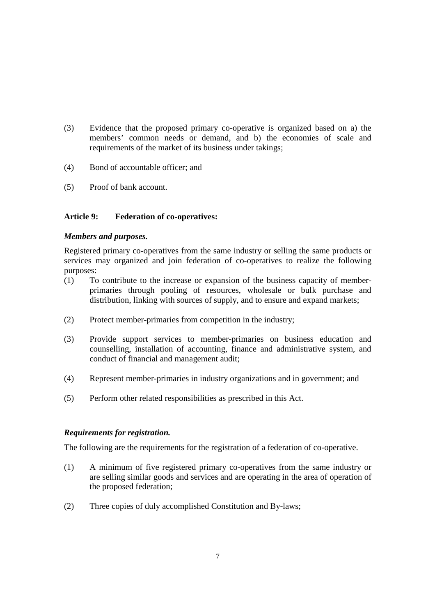- (3) Evidence that the proposed primary co-operative is organized based on a) the members' common needs or demand, and b) the economies of scale and requirements of the market of its business under takings;
- (4) Bond of accountable officer; and
- (5) Proof of bank account.

# **Article 9: Federation of co-operatives:**

#### *Members and purposes.*

Registered primary co-operatives from the same industry or selling the same products or services may organized and join federation of co-operatives to realize the following purposes:

- (1) To contribute to the increase or expansion of the business capacity of memberprimaries through pooling of resources, wholesale or bulk purchase and distribution, linking with sources of supply, and to ensure and expand markets;
- (2) Protect member-primaries from competition in the industry;
- (3) Provide support services to member-primaries on business education and counselling, installation of accounting, finance and administrative system, and conduct of financial and management audit;
- (4) Represent member-primaries in industry organizations and in government; and
- (5) Perform other related responsibilities as prescribed in this Act.

#### *Requirements for registration.*

The following are the requirements for the registration of a federation of co-operative.

- (1) A minimum of five registered primary co-operatives from the same industry or are selling similar goods and services and are operating in the area of operation of the proposed federation;
- (2) Three copies of duly accomplished Constitution and By-laws;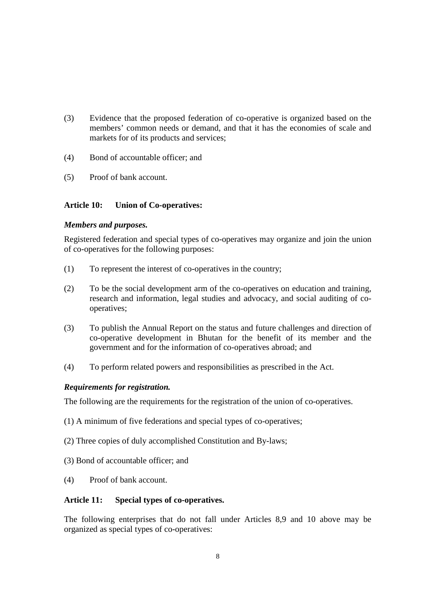- (3) Evidence that the proposed federation of co-operative is organized based on the members' common needs or demand, and that it has the economies of scale and markets for of its products and services;
- (4) Bond of accountable officer; and
- (5) Proof of bank account.

# **Article 10: Union of Co-operatives:**

# *Members and purposes.*

Registered federation and special types of co-operatives may organize and join the union of co-operatives for the following purposes:

- (1) To represent the interest of co-operatives in the country;
- (2) To be the social development arm of the co-operatives on education and training, research and information, legal studies and advocacy, and social auditing of cooperatives;
- (3) To publish the Annual Report on the status and future challenges and direction of co-operative development in Bhutan for the benefit of its member and the government and for the information of co-operatives abroad; and
- (4) To perform related powers and responsibilities as prescribed in the Act.

# *Requirements for registration.*

The following are the requirements for the registration of the union of co-operatives.

- (1) A minimum of five federations and special types of co-operatives;
- (2) Three copies of duly accomplished Constitution and By-laws;
- (3) Bond of accountable officer; and
- (4) Proof of bank account.

#### **Article 11: Special types of co-operatives.**

The following enterprises that do not fall under Articles 8,9 and 10 above may be organized as special types of co-operatives: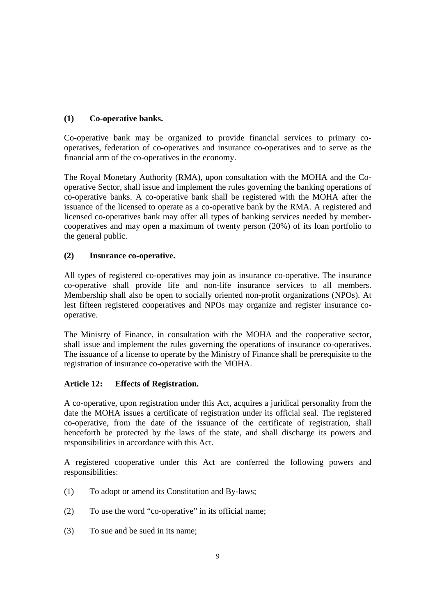# **(1) Co-operative banks.**

Co-operative bank may be organized to provide financial services to primary cooperatives, federation of co-operatives and insurance co-operatives and to serve as the financial arm of the co-operatives in the economy.

The Royal Monetary Authority (RMA), upon consultation with the MOHA and the Cooperative Sector, shall issue and implement the rules governing the banking operations of co-operative banks. A co-operative bank shall be registered with the MOHA after the issuance of the licensed to operate as a co-operative bank by the RMA. A registered and licensed co-operatives bank may offer all types of banking services needed by membercooperatives and may open a maximum of twenty person (20%) of its loan portfolio to the general public.

# **(2) Insurance co-operative.**

All types of registered co-operatives may join as insurance co-operative. The insurance co-operative shall provide life and non-life insurance services to all members. Membership shall also be open to socially oriented non-profit organizations (NPOs). At lest fifteen registered cooperatives and NPOs may organize and register insurance cooperative.

The Ministry of Finance, in consultation with the MOHA and the cooperative sector, shall issue and implement the rules governing the operations of insurance co-operatives. The issuance of a license to operate by the Ministry of Finance shall be prerequisite to the registration of insurance co-operative with the MOHA.

# **Article 12: Effects of Registration.**

A co-operative, upon registration under this Act, acquires a juridical personality from the date the MOHA issues a certificate of registration under its official seal. The registered co-operative, from the date of the issuance of the certificate of registration, shall henceforth be protected by the laws of the state, and shall discharge its powers and responsibilities in accordance with this Act.

A registered cooperative under this Act are conferred the following powers and responsibilities:

- (1) To adopt or amend its Constitution and By-laws;
- (2) To use the word "co-operative" in its official name;
- (3) To sue and be sued in its name;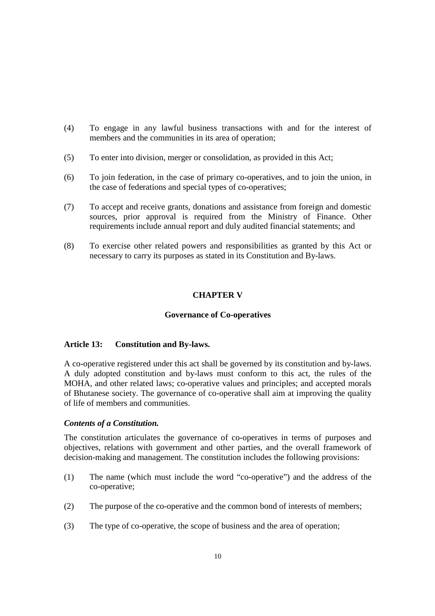- (4) To engage in any lawful business transactions with and for the interest of members and the communities in its area of operation:
- (5) To enter into division, merger or consolidation, as provided in this Act;
- (6) To join federation, in the case of primary co-operatives, and to join the union, in the case of federations and special types of co-operatives;
- (7) To accept and receive grants, donations and assistance from foreign and domestic sources, prior approval is required from the Ministry of Finance. Other requirements include annual report and duly audited financial statements; and
- (8) To exercise other related powers and responsibilities as granted by this Act or necessary to carry its purposes as stated in its Constitution and By-laws.

# **CHAPTER V**

#### **Governance of Co-operatives**

#### **Article 13: Constitution and By-laws.**

A co-operative registered under this act shall be governed by its constitution and by-laws. A duly adopted constitution and by-laws must conform to this act, the rules of the MOHA, and other related laws; co-operative values and principles; and accepted morals of Bhutanese society. The governance of co-operative shall aim at improving the quality of life of members and communities.

#### *Contents of a Constitution.*

The constitution articulates the governance of co-operatives in terms of purposes and objectives, relations with government and other parties, and the overall framework of decision-making and management. The constitution includes the following provisions:

- (1) The name (which must include the word "co-operative") and the address of the co-operative;
- (2) The purpose of the co-operative and the common bond of interests of members;
- (3) The type of co-operative, the scope of business and the area of operation;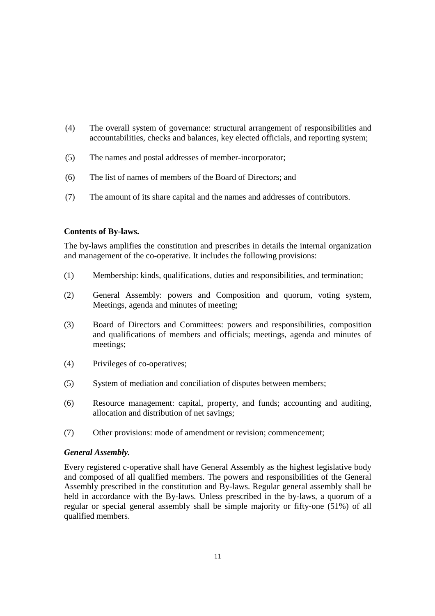- (4) The overall system of governance: structural arrangement of responsibilities and accountabilities, checks and balances, key elected officials, and reporting system;
- (5) The names and postal addresses of member-incorporator;
- (6) The list of names of members of the Board of Directors; and
- (7) The amount of its share capital and the names and addresses of contributors.

# **Contents of By-laws.**

The by-laws amplifies the constitution and prescribes in details the internal organization and management of the co-operative. It includes the following provisions:

- (1) Membership: kinds, qualifications, duties and responsibilities, and termination;
- (2) General Assembly: powers and Composition and quorum, voting system, Meetings, agenda and minutes of meeting;
- (3) Board of Directors and Committees: powers and responsibilities, composition and qualifications of members and officials; meetings, agenda and minutes of meetings;
- (4) Privileges of co-operatives;
- (5) System of mediation and conciliation of disputes between members;
- (6) Resource management: capital, property, and funds; accounting and auditing, allocation and distribution of net savings;
- (7) Other provisions: mode of amendment or revision; commencement;

#### *General Assembly.*

Every registered c-operative shall have General Assembly as the highest legislative body and composed of all qualified members. The powers and responsibilities of the General Assembly prescribed in the constitution and By-laws. Regular general assembly shall be held in accordance with the By-laws. Unless prescribed in the by-laws, a quorum of a regular or special general assembly shall be simple majority or fifty-one (51%) of all qualified members.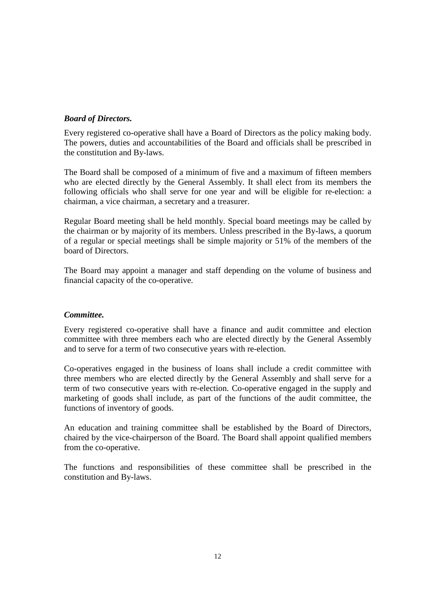# *Board of Directors.*

Every registered co-operative shall have a Board of Directors as the policy making body. The powers, duties and accountabilities of the Board and officials shall be prescribed in the constitution and By-laws.

The Board shall be composed of a minimum of five and a maximum of fifteen members who are elected directly by the General Assembly. It shall elect from its members the following officials who shall serve for one year and will be eligible for re-election: a chairman, a vice chairman, a secretary and a treasurer.

Regular Board meeting shall be held monthly. Special board meetings may be called by the chairman or by majority of its members. Unless prescribed in the By-laws, a quorum of a regular or special meetings shall be simple majority or 51% of the members of the board of Directors.

The Board may appoint a manager and staff depending on the volume of business and financial capacity of the co-operative.

# *Committee.*

Every registered co-operative shall have a finance and audit committee and election committee with three members each who are elected directly by the General Assembly and to serve for a term of two consecutive years with re-election.

Co-operatives engaged in the business of loans shall include a credit committee with three members who are elected directly by the General Assembly and shall serve for a term of two consecutive years with re-election. Co-operative engaged in the supply and marketing of goods shall include, as part of the functions of the audit committee, the functions of inventory of goods.

An education and training committee shall be established by the Board of Directors, chaired by the vice-chairperson of the Board. The Board shall appoint qualified members from the co-operative.

The functions and responsibilities of these committee shall be prescribed in the constitution and By-laws.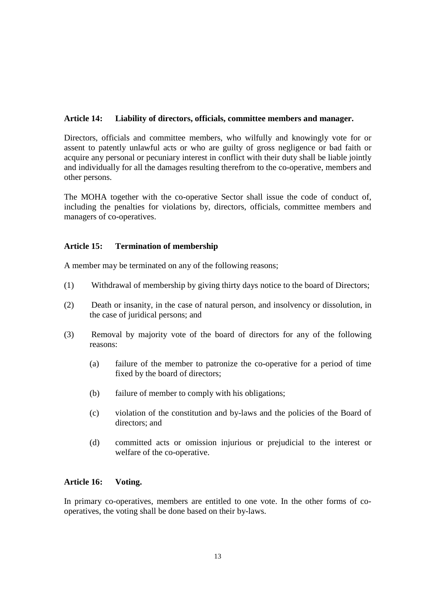# **Article 14: Liability of directors, officials, committee members and manager.**

Directors, officials and committee members, who wilfully and knowingly vote for or assent to patently unlawful acts or who are guilty of gross negligence or bad faith or acquire any personal or pecuniary interest in conflict with their duty shall be liable jointly and individually for all the damages resulting therefrom to the co-operative, members and other persons.

The MOHA together with the co-operative Sector shall issue the code of conduct of, including the penalties for violations by, directors, officials, committee members and managers of co-operatives.

# **Article 15: Termination of membership**

A member may be terminated on any of the following reasons;

- (1) Withdrawal of membership by giving thirty days notice to the board of Directors;
- (2) Death or insanity, in the case of natural person, and insolvency or dissolution, in the case of juridical persons; and
- (3) Removal by majority vote of the board of directors for any of the following reasons:
	- (a) failure of the member to patronize the co-operative for a period of time fixed by the board of directors;
	- (b) failure of member to comply with his obligations;
	- (c) violation of the constitution and by-laws and the policies of the Board of directors; and
	- (d) committed acts or omission injurious or prejudicial to the interest or welfare of the co-operative.

#### **Article 16: Voting.**

In primary co-operatives, members are entitled to one vote. In the other forms of cooperatives, the voting shall be done based on their by-laws.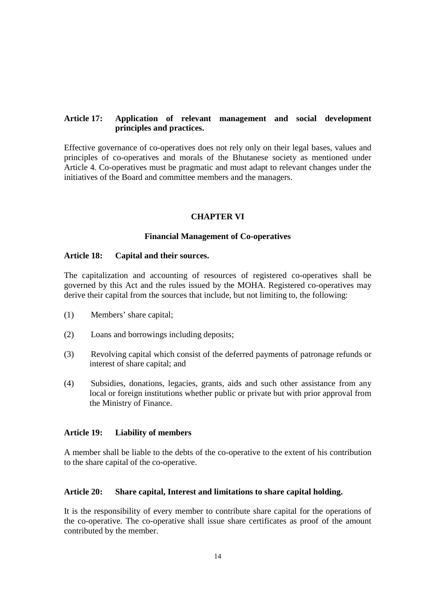# **Article 17: Application of relevant management and social development principles and practices.**

Effective governance of co-operatives does not rely only on their legal bases, values and principles of co-operatives and morals of the Bhutanese society as mentioned under Article 4. Co-operatives must be pragmatic and must adapt to relevant changes under the initiatives of the Board and committee members and the managers.

# **CHAPTER VI**

#### **Financial Management of Co-operatives**

#### **Article 18: Capital and their sources.**

The capitalization and accounting of resources of registered co-operatives shall be governed by this Act and the rules issued by the MOHA. Registered co-operatives may derive their capital from the sources that include, but not limiting to, the following:

- (1) Members' share capital;
- (2) Loans and borrowings including deposits;
- (3) Revolving capital which consist of the deferred payments of patronage refunds or interest of share capital; and
- (4) Subsidies, donations, legacies, grants, aids and such other assistance from any local or foreign institutions whether public or private but with prior approval from the Ministry of Finance.

#### **Article 19: Liability of members**

A member shall be liable to the debts of the co-operative to the extent of his contribution to the share capital of the co-operative.

#### **Article 20: Share capital, Interest and limitations to share capital holding.**

It is the responsibility of every member to contribute share capital for the operations of the co-operative. The co-operative shall issue share certificates as proof of the amount contributed by the member.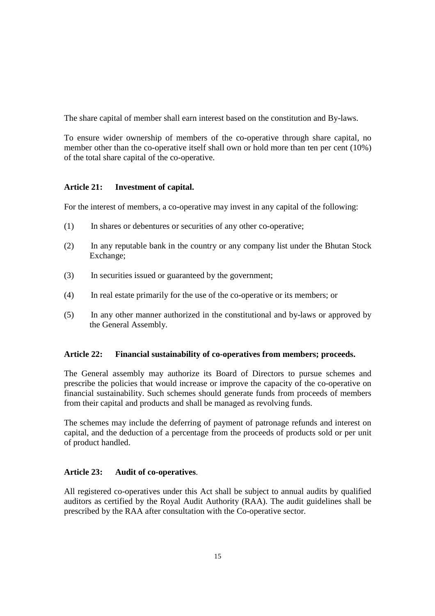The share capital of member shall earn interest based on the constitution and By-laws.

To ensure wider ownership of members of the co-operative through share capital, no member other than the co-operative itself shall own or hold more than ten per cent (10%) of the total share capital of the co-operative.

# **Article 21: Investment of capital.**

For the interest of members, a co-operative may invest in any capital of the following:

- (1) In shares or debentures or securities of any other co-operative;
- (2) In any reputable bank in the country or any company list under the Bhutan Stock Exchange;
- (3) In securities issued or guaranteed by the government;
- (4) In real estate primarily for the use of the co-operative or its members; or
- (5) In any other manner authorized in the constitutional and by-laws or approved by the General Assembly.

# **Article 22: Financial sustainability of co-operatives from members; proceeds.**

The General assembly may authorize its Board of Directors to pursue schemes and prescribe the policies that would increase or improve the capacity of the co-operative on financial sustainability. Such schemes should generate funds from proceeds of members from their capital and products and shall be managed as revolving funds.

The schemes may include the deferring of payment of patronage refunds and interest on capital, and the deduction of a percentage from the proceeds of products sold or per unit of product handled.

# **Article 23: Audit of co-operatives**.

All registered co-operatives under this Act shall be subject to annual audits by qualified auditors as certified by the Royal Audit Authority (RAA). The audit guidelines shall be prescribed by the RAA after consultation with the Co-operative sector.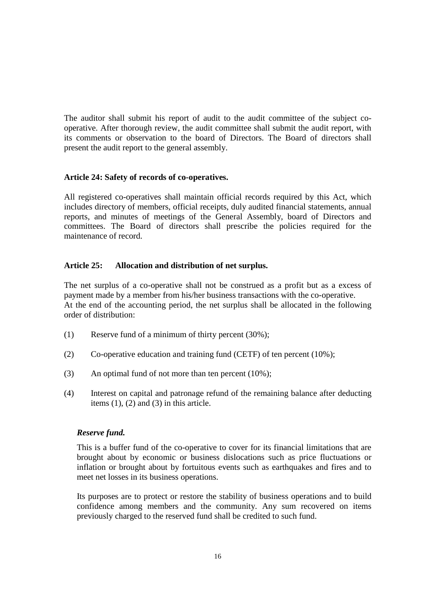The auditor shall submit his report of audit to the audit committee of the subject cooperative. After thorough review, the audit committee shall submit the audit report, with its comments or observation to the board of Directors. The Board of directors shall present the audit report to the general assembly.

# **Article 24: Safety of records of co-operatives.**

All registered co-operatives shall maintain official records required by this Act, which includes directory of members, official receipts, duly audited financial statements, annual reports, and minutes of meetings of the General Assembly, board of Directors and committees. The Board of directors shall prescribe the policies required for the maintenance of record.

# **Article 25: Allocation and distribution of net surplus.**

The net surplus of a co-operative shall not be construed as a profit but as a excess of payment made by a member from his/her business transactions with the co-operative. At the end of the accounting period, the net surplus shall be allocated in the following order of distribution:

- (1) Reserve fund of a minimum of thirty percent (30%);
- (2) Co-operative education and training fund (CETF) of ten percent (10%);
- (3) An optimal fund of not more than ten percent (10%);
- (4) Interest on capital and patronage refund of the remaining balance after deducting items  $(1)$ ,  $(2)$  and  $(3)$  in this article.

#### *Reserve fund.*

This is a buffer fund of the co-operative to cover for its financial limitations that are brought about by economic or business dislocations such as price fluctuations or inflation or brought about by fortuitous events such as earthquakes and fires and to meet net losses in its business operations.

Its purposes are to protect or restore the stability of business operations and to build confidence among members and the community. Any sum recovered on items previously charged to the reserved fund shall be credited to such fund.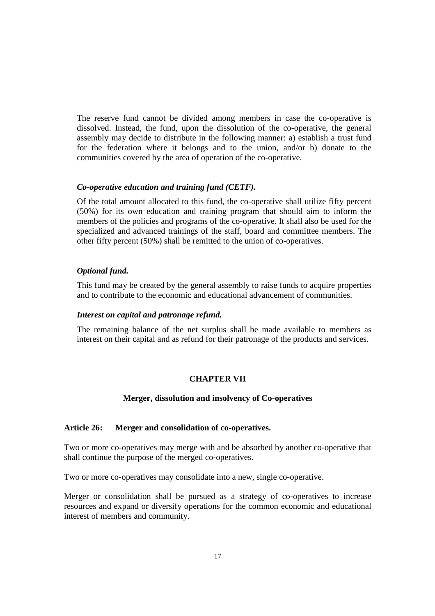The reserve fund cannot be divided among members in case the co-operative is dissolved. Instead, the fund, upon the dissolution of the co-operative, the general assembly may decide to distribute in the following manner: a) establish a trust fund for the federation where it belongs and to the union, and/or b) donate to the communities covered by the area of operation of the co-operative.

# *Co-operative education and training fund (CETF).*

Of the total amount allocated to this fund, the co-operative shall utilize fifty percent (50%) for its own education and training program that should aim to inform the members of the policies and programs of the co-operative. It shall also be used for the specialized and advanced trainings of the staff, board and committee members. The other fifty percent (50%) shall be remitted to the union of co-operatives.

# *Optional fund.*

This fund may be created by the general assembly to raise funds to acquire properties and to contribute to the economic and educational advancement of communities.

#### *Interest on capital and patronage refund.*

The remaining balance of the net surplus shall be made available to members as interest on their capital and as refund for their patronage of the products and services.

# **CHAPTER VII**

#### **Merger, dissolution and insolvency of Co-operatives**

# **Article 26: Merger and consolidation of co-operatives.**

Two or more co-operatives may merge with and be absorbed by another co-operative that shall continue the purpose of the merged co-operatives.

Two or more co-operatives may consolidate into a new, single co-operative.

Merger or consolidation shall be pursued as a strategy of co-operatives to increase resources and expand or diversify operations for the common economic and educational interest of members and community.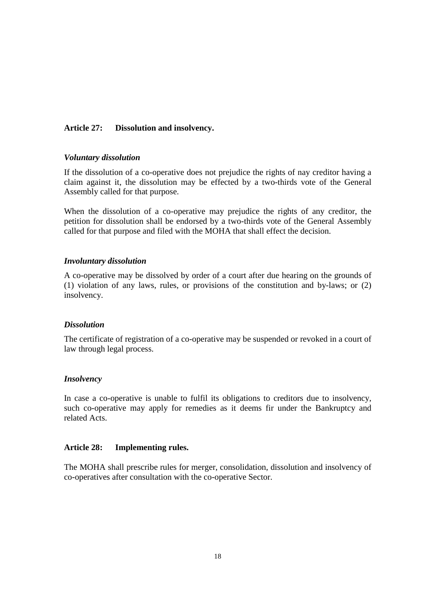# **Article 27: Dissolution and insolvency.**

#### *Voluntary dissolution*

If the dissolution of a co-operative does not prejudice the rights of nay creditor having a claim against it, the dissolution may be effected by a two-thirds vote of the General Assembly called for that purpose.

When the dissolution of a co-operative may prejudice the rights of any creditor, the petition for dissolution shall be endorsed by a two-thirds vote of the General Assembly called for that purpose and filed with the MOHA that shall effect the decision.

#### *Involuntary dissolution*

A co-operative may be dissolved by order of a court after due hearing on the grounds of (1) violation of any laws, rules, or provisions of the constitution and by-laws; or (2) insolvency.

#### *Dissolution*

The certificate of registration of a co-operative may be suspended or revoked in a court of law through legal process.

#### *Insolvency*

In case a co-operative is unable to fulfil its obligations to creditors due to insolvency, such co-operative may apply for remedies as it deems fir under the Bankruptcy and related Acts.

#### **Article 28: Implementing rules.**

The MOHA shall prescribe rules for merger, consolidation, dissolution and insolvency of co-operatives after consultation with the co-operative Sector.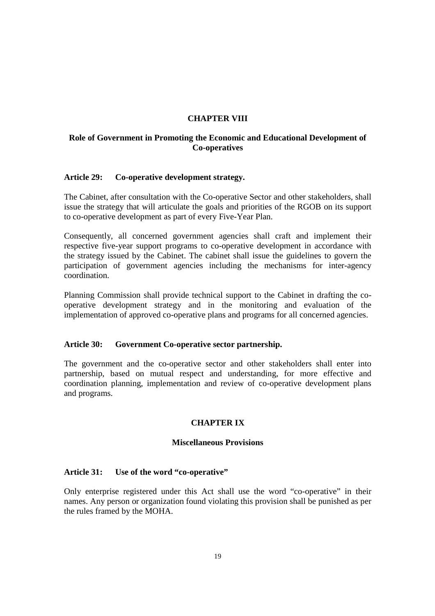# **CHAPTER VIII**

# **Role of Government in Promoting the Economic and Educational Development of Co-operatives**

#### **Article 29: Co-operative development strategy.**

The Cabinet, after consultation with the Co-operative Sector and other stakeholders, shall issue the strategy that will articulate the goals and priorities of the RGOB on its support to co-operative development as part of every Five-Year Plan.

Consequently, all concerned government agencies shall craft and implement their respective five-year support programs to co-operative development in accordance with the strategy issued by the Cabinet. The cabinet shall issue the guidelines to govern the participation of government agencies including the mechanisms for inter-agency coordination.

Planning Commission shall provide technical support to the Cabinet in drafting the cooperative development strategy and in the monitoring and evaluation of the implementation of approved co-operative plans and programs for all concerned agencies.

#### **Article 30: Government Co-operative sector partnership.**

The government and the co-operative sector and other stakeholders shall enter into partnership, based on mutual respect and understanding, for more effective and coordination planning, implementation and review of co-operative development plans and programs.

# **CHAPTER IX**

#### **Miscellaneous Provisions**

#### **Article 31: Use of the word "co-operative"**

Only enterprise registered under this Act shall use the word "co-operative" in their names. Any person or organization found violating this provision shall be punished as per the rules framed by the MOHA.